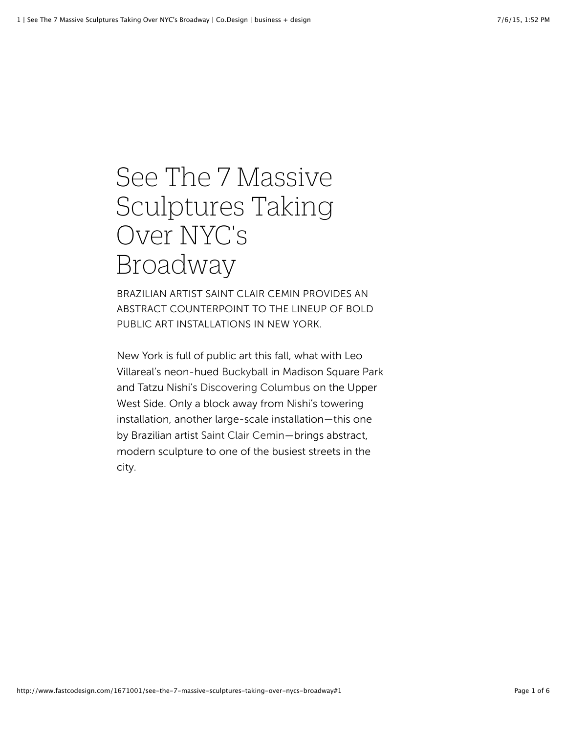## See The 7 Massive Sculptures Taking Over NYC's Broadway

BRAZILIAN ARTIST SAINT CLAIR CEMIN PROVIDES AN ABSTRACT COUNTERPOINT TO THE LINEUP OF BOLD PUBLIC ART INSTALLATIONS IN NEW YORK.

New York is full of public art this fall, what with Leo Villareal's neon-hued [Buckyball](http://www.madisonsquarepark.org/things-to-do/calendar/mad-sq-art-leo-villareals-buckyball) in Madison Square Park and Tatzu Nishi's [Discovering Columbus](http://www.publicartfund.org/view/exhibitions/5495_discovering_columbus) on the Upper West Side. Only a block away from Nishi's towering installation, another large-scale installation—this one by Brazilian artist [Saint Clair Cemin](http://www.saintclaircemin.com/)—brings abstract, modern sculpture to one of the busiest streets in the city.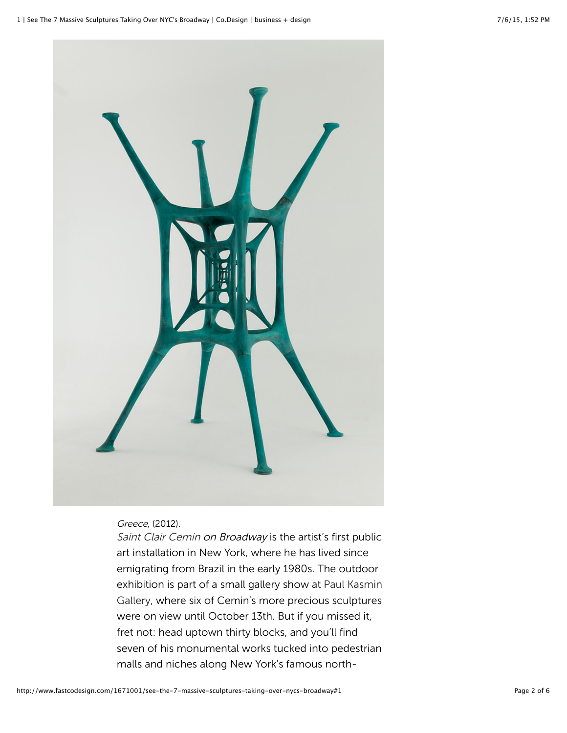

Greece, (2012).

[Saint Clair Cemin](http://www.fastcompany.com/person/saint-clair-cemin) on Broadway is the artist's first public art installation in New York, where he has lived since emigrating from Brazil in the early 1980s. The outdoor [exhibition is part of a small gallery show at Paul Kasmin](http://www.paulkasmingallery.com/exhibitions/2012-09-06_saint-clair-cemin) Gallery, where six of Cemin's more precious sculptures were on view until October 13th. But if you missed it, fret not: head uptown thirty blocks, and you'll find seven of his monumental works tucked into pedestrian malls and niches along New York's famous north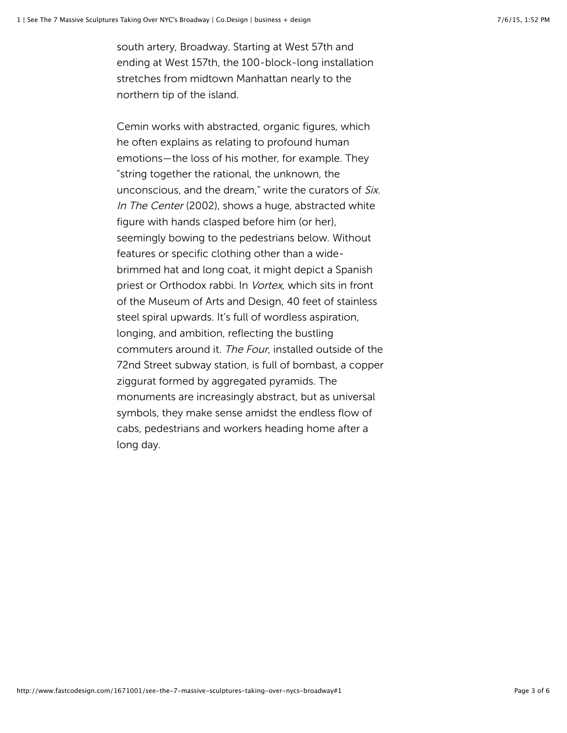south artery, Broadway. Starting at West 57th and ending at West 157th, the 100-block-long installation stretches from midtown Manhattan nearly to the northern tip of the island.

Cemin works with abstracted, organic figures, which he often explains as relating to profound human emotions—the loss of his mother, for example. They "string together the rational, the unknown, the unconscious, and the dream," write the curators of Six. In The Center (2002), shows a huge, abstracted white figure with hands clasped before him (or her), seemingly bowing to the pedestrians below. Without features or specific clothing other than a widebrimmed hat and long coat, it might depict a Spanish priest or Orthodox rabbi. In Vortex, which sits in front of the Museum of Arts and Design, 40 feet of stainless steel spiral upwards. It's full of wordless aspiration, longing, and ambition, reflecting the bustling commuters around it. The Four, installed outside of the 72nd Street subway station, is full of bombast, a copper ziggurat formed by aggregated pyramids. The monuments are increasingly abstract, but as universal symbols, they make sense amidst the endless flow of cabs, pedestrians and workers heading home after a long day.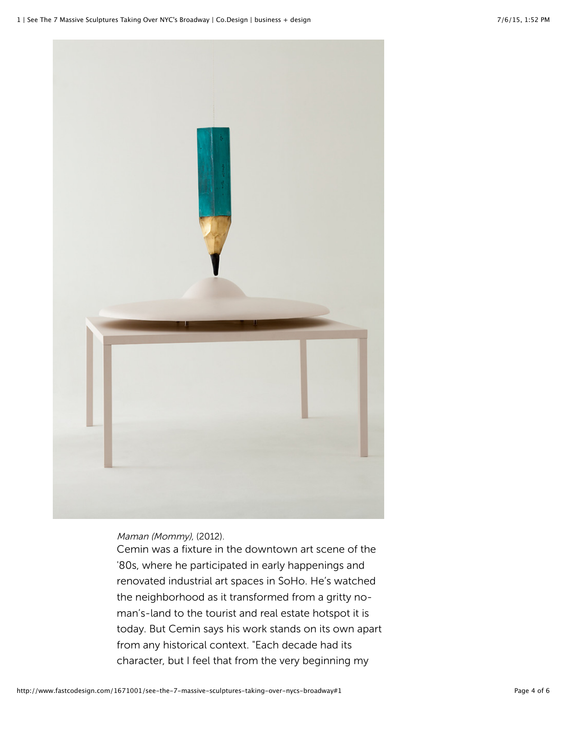

Maman (Mommy), (2012).

Cemin was a fixture in the downtown art scene of the '80s, where he participated in early happenings and renovated industrial art spaces in SoHo. He's watched the neighborhood as it transformed from a gritty noman's-land to the tourist and real estate hotspot it is today. But Cemin says his work stands on its own apart from any historical context. "Each decade had its character, but I feel that from the very beginning my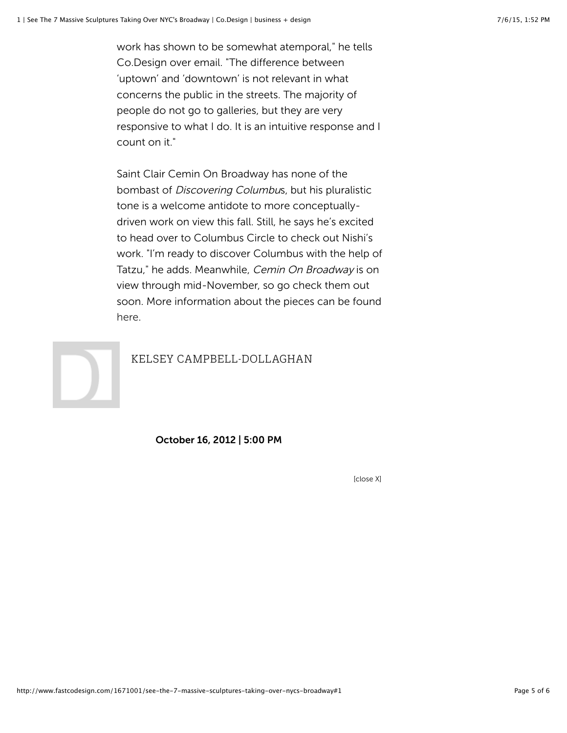work has shown to be somewhat atemporal," he tells Co.Design over email. "The difference between 'uptown' and 'downtown' is not relevant in what concerns the public in the streets. The majority of people do not go to galleries, but they are very responsive to what I do. It is an intuitive response and I count on it."

Saint Clair Cemin On Broadway has none of the bombast of Discovering Columbus, but his pluralistic tone is a welcome antidote to more conceptuallydriven work on view this fall. Still, he says he's excited to head over to Columbus Circle to check out Nishi's work. "I'm ready to discover Columbus with the help of Tatzu," he adds. Meanwhile, Cemin On Broadway is on view through mid-November, so go check them out soon. More information about the pieces can be found [here.](http://www.broadwaymall.org/our-programs/public-art/current-exhibition/)



## [KELSEY CAMPBELL-DOLLAGHAN](http://www.fastcompany.com/user/kelsey-campbell-dollaghan)

October 16, 2012 | 5:00 PM

[close X]